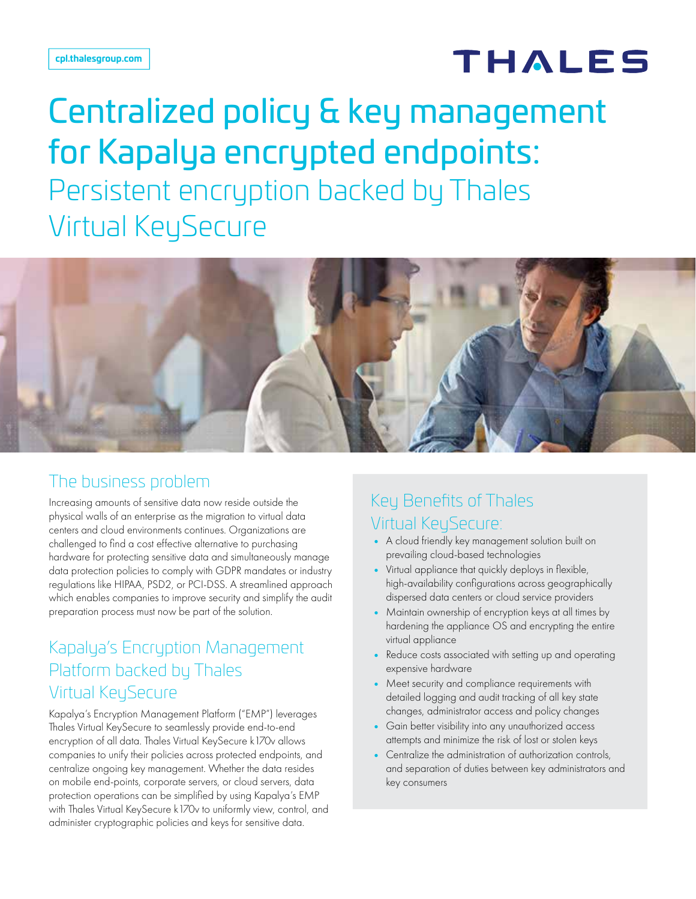# THALES

# Centralized policy & key management for Kapalya encrypted endpoints: Persistent encryption backed by Thales Virtual KeySecure



#### The business problem

Increasing amounts of sensitive data now reside outside the physical walls of an enterprise as the migration to virtual data centers and cloud environments continues. Organizations are challenged to find a cost effective alternative to purchasing hardware for protecting sensitive data and simultaneously manage data protection policies to comply with GDPR mandates or industry regulations like HIPAA, PSD2, or PCI-DSS. A streamlined approach which enables companies to improve security and simplify the audit preparation process must now be part of the solution.

#### Kapalya's Encryption Management Platform backed by Thales Virtual KeySecure

Kapalya's Encryption Management Platform ("EMP") leverages Thales Virtual KeySecure to seamlessly provide end-to-end encryption of all data. Thales Virtual KeySecure k170v allows companies to unify their policies across protected endpoints, and centralize ongoing key management. Whether the data resides on mobile end-points, corporate servers, or cloud servers, data protection operations can be simplified by using Kapalya's EMP with Thales Virtual KeySecure k170v to uniformly view, control, and administer cryptographic policies and keys for sensitive data.

## Key Benefits of Thales Virtual KeySecure:

- A cloud friendly key management solution built on prevailing cloud-based technologies
- Virtual appliance that quickly deploys in flexible, high-availability configurations across geographically dispersed data centers or cloud service providers
- Maintain ownership of encryption keys at all times by hardening the appliance OS and encrypting the entire virtual appliance
- Reduce costs associated with setting up and operating expensive hardware
- Meet security and compliance requirements with detailed logging and audit tracking of all key state changes, administrator access and policy changes
- Gain better visibility into any unauthorized access attempts and minimize the risk of lost or stolen keys
- Centralize the administration of authorization controls, and separation of duties between key administrators and key consumers